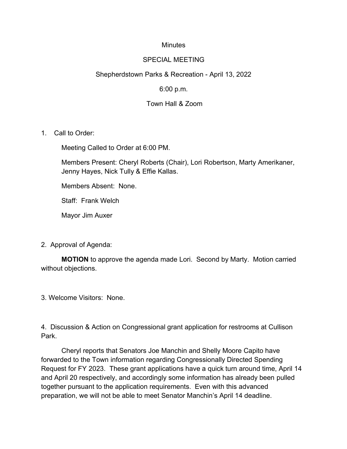### **Minutes**

#### SPECIAL MEETING

## Shepherdstown Parks & Recreation - April 13, 2022

### 6:00 p.m.

### Town Hall & Zoom

1. Call to Order:

Meeting Called to Order at 6:00 PM.

Members Present: Cheryl Roberts (Chair), Lori Robertson, Marty Amerikaner, Jenny Hayes, Nick Tully & Effie Kallas.

Members Absent: None.

Staff: Frank Welch

Mayor Jim Auxer

2. Approval of Agenda:

**MOTION** to approve the agenda made Lori. Second by Marty. Motion carried without objections.

3. Welcome Visitors: None.

4. Discussion & Action on Congressional grant application for restrooms at Cullison Park.

Cheryl reports that Senators Joe Manchin and Shelly Moore Capito have forwarded to the Town information regarding Congressionally Directed Spending Request for FY 2023. These grant applications have a quick turn around time, April 14 and April 20 respectively, and accordingly some information has already been pulled together pursuant to the application requirements. Even with this advanced preparation, we will not be able to meet Senator Manchin's April 14 deadline.